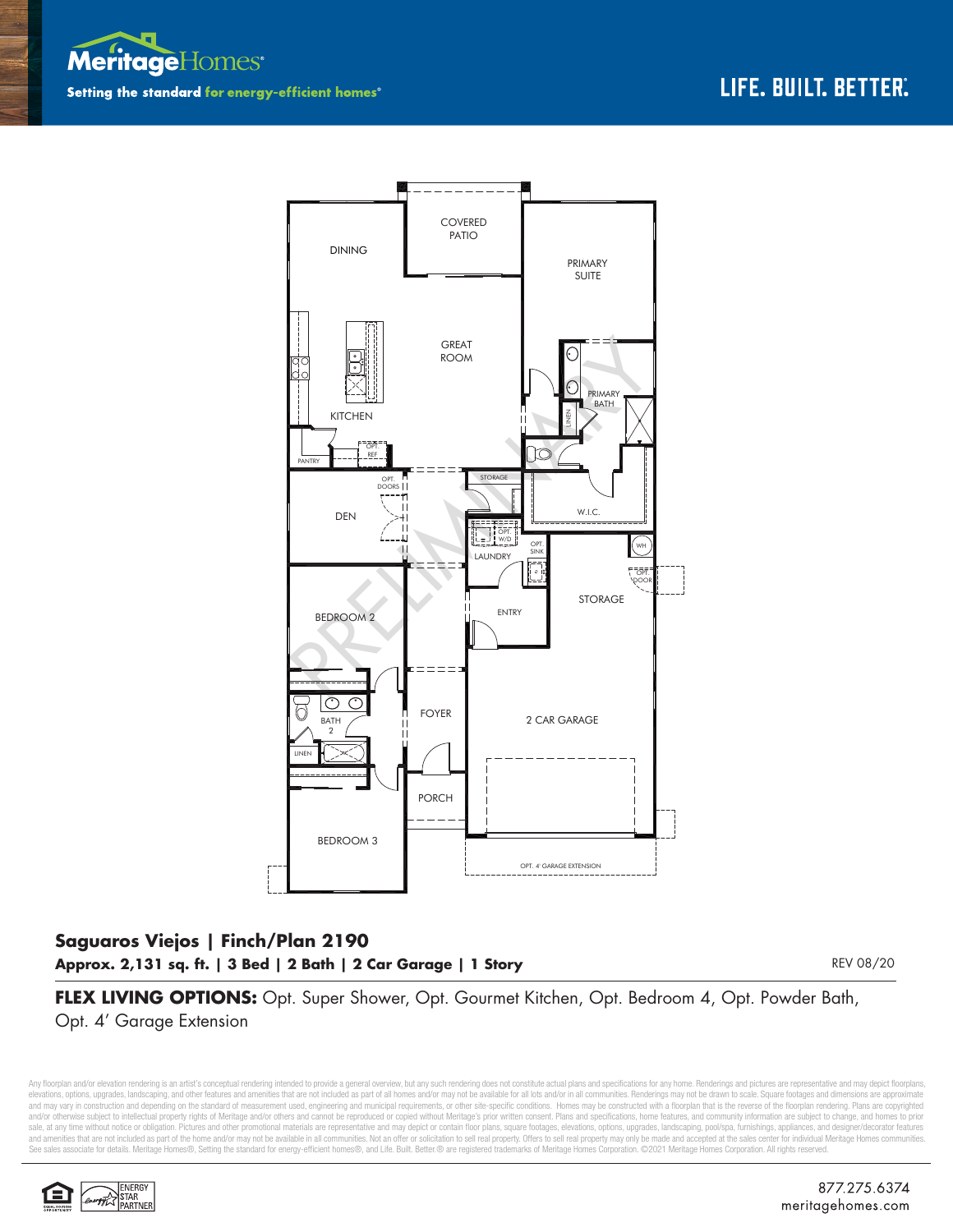



## **Saguaros Viejos | Finch/Plan 2190 Approx. 2,131 sq. ft. | 3 Bed | 2 Bath | 2 Car Garage | 1 Story**

REV 08/20

**FLEX LIVING OPTIONS:** Opt. Super Shower, Opt. Gourmet Kitchen, Opt. Bedroom 4, Opt. Powder Bath, Opt. 4' Garage Extension

Any floorplan and/or elevation rendering is an artist's conceptual rendering intended to provide a general overview, but any such rendering does not constitute actual plans and specifications for any home. Renderings and p elevations, options, upgrades, landscaping, and other features and amenities that are not included as part of all homes and/or may not be available for all lots and/or in all communities. Renderings may not be drawn to sca and may vary in construction and depending on the standard of measurement used, engineering and municipal requirements, or other site-specific conditions. Homes may be constructed with a floorplan that is the reverse of th and/or otherwise subject to intellectual property rights of Meritage and/or others and cannot be reproduced or copied without Meritage's prior written consent. Plans and specifications, home features, and community informa sale, at any time without notice or obligation. Pictures and other promotional materials are representative and may depict or contain floor plans, square footages, elevations, options, upgrades, landscaping, pool/spa, furn and amenities that are not included as part of the home and/or may not be available in all communities. Not an offer or solicitation to sell real property. Offers to sell real property may only be made and accepted at the See sales associate for details. Meritage Homes®, Setting the standard for energy-efficient homes®, and Life. Built. Better.® are registered trademarks of Meritage Homes Corporation. ©2021 Meritage Homes Corporation. All r